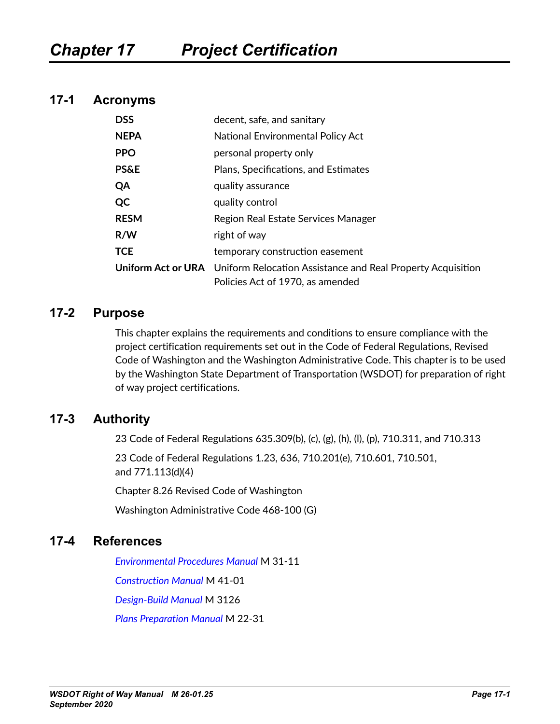## **17-1 Acronyms**

| <b>DSS</b>      | decent, safe, and sanitary                                                                                                |
|-----------------|---------------------------------------------------------------------------------------------------------------------------|
| <b>NEPA</b>     | National Environmental Policy Act                                                                                         |
| <b>PPO</b>      | personal property only                                                                                                    |
| <b>PS&amp;E</b> | Plans, Specifications, and Estimates                                                                                      |
| QA              | quality assurance                                                                                                         |
| QC              | quality control                                                                                                           |
| <b>RESM</b>     | Region Real Estate Services Manager                                                                                       |
| R/W             | right of way                                                                                                              |
| <b>TCE</b>      | temporary construction easement                                                                                           |
|                 | <b>Uniform Act or URA</b> Uniform Relocation Assistance and Real Property Acquisition<br>Policies Act of 1970, as amended |

## **17-2 Purpose**

This chapter explains the requirements and conditions to ensure compliance with the project certification requirements set out in the Code of Federal Regulations, Revised Code of Washington and the Washington Administrative Code. This chapter is to be used by the Washington State Department of Transportation (WSDOT) for preparation of right of way project certifications.

## **17-3 Authority**

23 Code of Federal Regulations 635.309(b), (c), (g), (h), (l), (p), 710.311, and 710.313

23 Code of Federal Regulations 1.23, 636, 710.201(e), 710.601, 710.501, and 771.113(d)(4)

Chapter 8.26 Revised Code of Washington

Washington Administrative Code 468-100 (G)

## **17-4 References**

*[Environmental Procedures Manual](http://www.wsdot.wa.gov/Publications/Manuals/M31-11.htm)* M 31-11

*[Construction Manual](http://www.wsdot.wa.gov/Publications/Manuals/M41-01.htm)* M 41-01

*[Design-Build Manual](https://www.wsdot.wa.gov/publications/manuals/m3126)* M 3126

*[Plans Preparation Manual](https://www.wsdot.wa.gov/Publications/Manuals/M22-31.htm)* M 22-31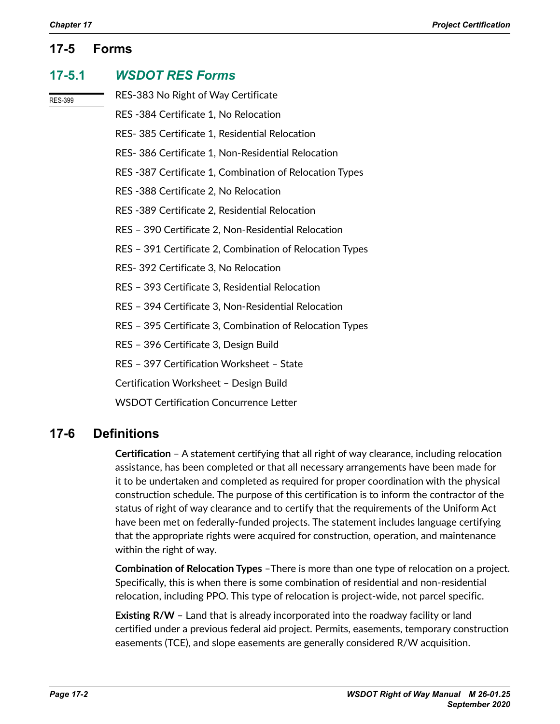## **17-5 Forms**

## **17-5.1** *WSDOT RES Forms*

RES-399

## RES-383 No Right of Way Certificate

RES -384 Certificate 1, No Relocation

- RES- 385 Certificate 1, Residential Relocation
- RES- 386 Certificate 1, Non-Residential Relocation
- RES -387 Certificate 1, Combination of Relocation Types
- RES -388 Certificate 2, No Relocation
- RES -389 Certificate 2, Residential Relocation
- RES 390 Certificate 2, Non-Residential Relocation
- RES 391 Certificate 2, Combination of Relocation Types
- RES- 392 Certificate 3, No Relocation
- RES 393 Certificate 3, Residential Relocation
- RES 394 Certificate 3, Non-Residential Relocation
- RES 395 Certificate 3, Combination of Relocation Types
- RES 396 Certificate 3, Design Build
- RES 397 Certification Worksheet State
- Certification Worksheet Design Build
- WSDOT Certification Concurrence Letter

## **17-6 Definitions**

**Certification** – A statement certifying that all right of way clearance, including relocation assistance, has been completed or that all necessary arrangements have been made for it to be undertaken and completed as required for proper coordination with the physical construction schedule. The purpose of this certification is to inform the contractor of the status of right of way clearance and to certify that the requirements of the Uniform Act have been met on federally-funded projects. The statement includes language certifying that the appropriate rights were acquired for construction, operation, and maintenance within the right of way.

**Combination of Relocation Types** –There is more than one type of relocation on a project. Specifically, this is when there is some combination of residential and non-residential relocation, including PPO. This type of relocation is project-wide, not parcel specific.

**Existing R/W** – Land that is already incorporated into the roadway facility or land certified under a previous federal aid project. Permits, easements, temporary construction easements (TCE), and slope easements are generally considered R/W acquisition.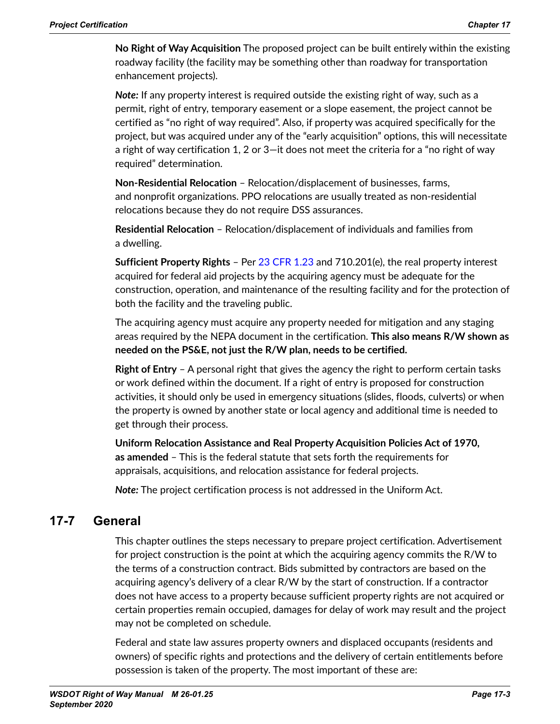**No Right of Way Acquisition** The proposed project can be built entirely within the existing roadway facility (the facility may be something other than roadway for transportation enhancement projects).

*Note:* If any property interest is required outside the existing right of way, such as a permit, right of entry, temporary easement or a slope easement, the project cannot be certified as "no right of way required". Also, if property was acquired specifically for the project, but was acquired under any of the "early acquisition" options, this will necessitate a right of way certification 1, 2 or 3—it does not meet the criteria for a "no right of way required" determination.

**Non-Residential Relocation** – Relocation/displacement of businesses, farms, and nonprofit organizations. PPO relocations are usually treated as non-residential relocations because they do not require DSS assurances.

**Residential Relocation** – Relocation/displacement of individuals and families from a dwelling.

**Sufficient Property Rights** – Per 23 CFR [1.23](http://www.ecfr.gov/cgi-bin/text-idx?SID=63c7b2ff01586b46b1ecd50f15eccb1c&mc=true&node=se23.1.1_123&rgn=div8) and 710.201(e), the real property interest acquired for federal aid projects by the acquiring agency must be adequate for the construction, operation, and maintenance of the resulting facility and for the protection of both the facility and the traveling public.

The acquiring agency must acquire any property needed for mitigation and any staging areas required by the NEPA document in the certification. **This also means R/W shown as needed on the PS&E, not just the R/W plan, needs to be certified.**

**Right of Entry** – A personal right that gives the agency the right to perform certain tasks or work defined within the document. If a right of entry is proposed for construction activities, it should only be used in emergency situations (slides, floods, culverts) or when the property is owned by another state or local agency and additional time is needed to get through their process.

**Uniform Relocation Assistance and Real Property Acquisition Policies Act of 1970, as amended** – This is the federal statute that sets forth the requirements for appraisals, acquisitions, and relocation assistance for federal projects.

*Note:* The project certification process is not addressed in the Uniform Act.

## **17-7 General**

This chapter outlines the steps necessary to prepare project certification. Advertisement for project construction is the point at which the acquiring agency commits the R/W to the terms of a construction contract. Bids submitted by contractors are based on the acquiring agency's delivery of a clear R/W by the start of construction. If a contractor does not have access to a property because sufficient property rights are not acquired or certain properties remain occupied, damages for delay of work may result and the project may not be completed on schedule.

Federal and state law assures property owners and displaced occupants (residents and owners) of specific rights and protections and the delivery of certain entitlements before possession is taken of the property. The most important of these are: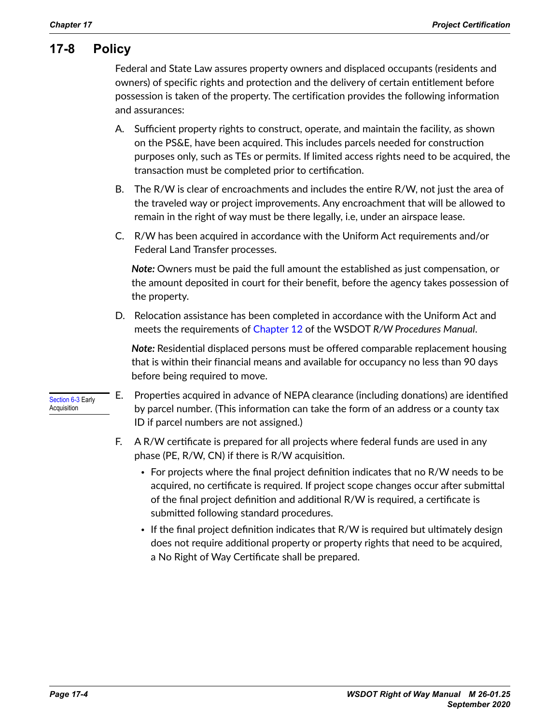## **17-8 Policy**

Federal and State Law assures property owners and displaced occupants (residents and owners) of specific rights and protection and the delivery of certain entitlement before possession is taken of the property. The certification provides the following information and assurances:

- A. Sufficient property rights to construct, operate, and maintain the facility, as shown on the PS&E, have been acquired. This includes parcels needed for construction purposes only, such as TEs or permits. If limited access rights need to be acquired, the transaction must be completed prior to certification.
- B. The R/W is clear of encroachments and includes the entire R/W, not just the area of the traveled way or project improvements. Any encroachment that will be allowed to remain in the right of way must be there legally, i.e, under an airspace lease.
- C. R/W has been acquired in accordance with the Uniform Act requirements and/or Federal Land Transfer processes.

*Note:* Owners must be paid the full amount the established as just compensation, or the amount deposited in court for their benefit, before the agency takes possession of the property.

D. Relocation assistance has been completed in accordance with the Uniform Act and meets the requirements of Chapter 12 of the WSDOT *R/W Procedures Manual*.

*Note:* Residential displaced persons must be offered comparable replacement housing that is within their financial means and available for occupancy no less than 90 days before being required to move.

- Section 6-3 Early Acquisition
- E. Properties acquired in advance of NEPA clearance (including donations) are identified by parcel number. (This information can take the form of an address or a county tax ID if parcel numbers are not assigned.)
- F. A R/W certificate is prepared for all projects where federal funds are used in any phase (PE, R/W, CN) if there is R/W acquisition.
	- For projects where the final project definition indicates that no R/W needs to be acquired, no certificate is required. If project scope changes occur after submittal of the final project definition and additional R/W is required, a certificate is submitted following standard procedures.
	- If the final project definition indicates that R/W is required but ultimately design does not require additional property or property rights that need to be acquired, a No Right of Way Certificate shall be prepared.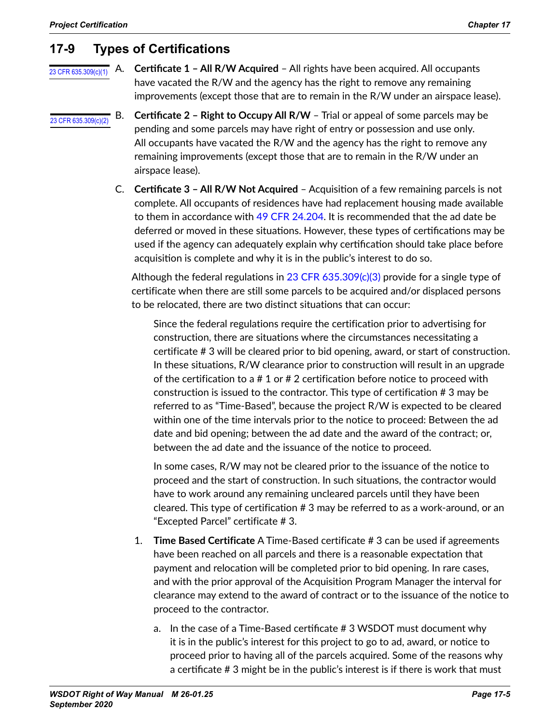## **17-9 Types of Certifications**

## [23 CFR 635.309\(c\)\(1\)](https://www.ecfr.gov/cgi-bin/text-idx?SID=152f21c8713f4b651841d2beae29b57a&mc=true&node=pt23.1.635&rgn=div5#se23.1.635_1309)

A. **Certificate 1 – All R/W Acquired** – All rights have been acquired. All occupants have vacated the R/W and the agency has the right to remove any remaining improvements (except those that are to remain in the R/W under an airspace lease).

- B. **Certificate 2 Right to Occupy All R/W** Trial or appeal of some parcels may be pending and some parcels may have right of entry or possession and use only. All occupants have vacated the R/W and the agency has the right to remove any remaining improvements (except those that are to remain in the R/W under an airspace lease). [23 CFR 635.309\(c\)\(2\)](https://www.ecfr.gov/cgi-bin/text-idx?SID=152f21c8713f4b651841d2beae29b57a&mc=true&node=pt23.1.635&rgn=div5#se23.1.635_1309)
	- C. **Certificate 3 All R/W Not Acquired** Acquisition of a few remaining parcels is not complete. All occupants of residences have had replacement housing made available to them in accordance with 49 CFR [24.204.](https://www.ecfr.gov/cgi-bin/text-idx?SID=152f21c8713f4b651841d2beae29b57a&mc=true&node=pt49.1.24&rgn=div5#se49.1.24_1204) It is recommended that the ad date be deferred or moved in these situations. However, these types of certifications may be used if the agency can adequately explain why certification should take place before acquisition is complete and why it is in the public's interest to do so.

Although the federal regulations in 23 CFR 635.309 $\langle c \rangle$ (3) provide for a single type of certificate when there are still some parcels to be acquired and/or displaced persons to be relocated, there are two distinct situations that can occur:

Since the federal regulations require the certification prior to advertising for construction, there are situations where the circumstances necessitating a certificate # 3 will be cleared prior to bid opening, award, or start of construction. In these situations, R/W clearance prior to construction will result in an upgrade of the certification to a # 1 or # 2 certification before notice to proceed with construction is issued to the contractor. This type of certification # 3 may be referred to as "Time-Based", because the project R/W is expected to be cleared within one of the time intervals prior to the notice to proceed: Between the ad date and bid opening; between the ad date and the award of the contract; or, between the ad date and the issuance of the notice to proceed.

In some cases, R/W may not be cleared prior to the issuance of the notice to proceed and the start of construction. In such situations, the contractor would have to work around any remaining uncleared parcels until they have been cleared. This type of certification # 3 may be referred to as a work-around, or an "Excepted Parcel" certificate # 3.

- 1. **Time Based Certificate** A Time-Based certificate # 3 can be used if agreements have been reached on all parcels and there is a reasonable expectation that payment and relocation will be completed prior to bid opening. In rare cases, and with the prior approval of the Acquisition Program Manager the interval for clearance may extend to the award of contract or to the issuance of the notice to proceed to the contractor.
	- a. In the case of a Time-Based certificate # 3 WSDOT must document why it is in the public's interest for this project to go to ad, award, or notice to proceed prior to having all of the parcels acquired. Some of the reasons why a certificate # 3 might be in the public's interest is if there is work that must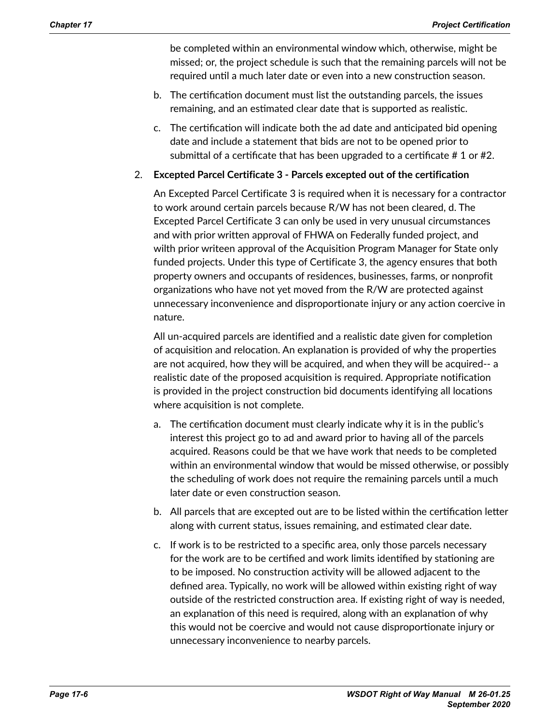be completed within an environmental window which, otherwise, might be missed; or, the project schedule is such that the remaining parcels will not be required until a much later date or even into a new construction season.

- b. The certification document must list the outstanding parcels, the issues remaining, and an estimated clear date that is supported as realistic.
- c. The certification will indicate both the ad date and anticipated bid opening date and include a statement that bids are not to be opened prior to submittal of a certificate that has been upgraded to a certificate # 1 or #2.

## 2. **Excepted Parcel Certificate 3 - Parcels excepted out of the certification**

An Excepted Parcel Certificate 3 is required when it is necessary for a contractor to work around certain parcels because R/W has not been cleared, d. The Excepted Parcel Certificate 3 can only be used in very unusual circumstances and with prior written approval of FHWA on Federally funded project, and wilth prior writeen approval of the Acquisition Program Manager for State only funded projects. Under this type of Certificate 3, the agency ensures that both property owners and occupants of residences, businesses, farms, or nonprofit organizations who have not yet moved from the R/W are protected against unnecessary inconvenience and disproportionate injury or any action coercive in nature.

All un-acquired parcels are identified and a realistic date given for completion of acquisition and relocation. An explanation is provided of why the properties are not acquired, how they will be acquired, and when they will be acquired-- a realistic date of the proposed acquisition is required. Appropriate notification is provided in the project construction bid documents identifying all locations where acquisition is not complete.

- a. The certification document must clearly indicate why it is in the public's interest this project go to ad and award prior to having all of the parcels acquired. Reasons could be that we have work that needs to be completed within an environmental window that would be missed otherwise, or possibly the scheduling of work does not require the remaining parcels until a much later date or even construction season.
- b. All parcels that are excepted out are to be listed within the certification letter along with current status, issues remaining, and estimated clear date.
- c. If work is to be restricted to a specific area, only those parcels necessary for the work are to be certified and work limits identified by stationing are to be imposed. No construction activity will be allowed adjacent to the defined area. Typically, no work will be allowed within existing right of way outside of the restricted construction area. If existing right of way is needed, an explanation of this need is required, along with an explanation of why this would not be coercive and would not cause disproportionate injury or unnecessary inconvenience to nearby parcels.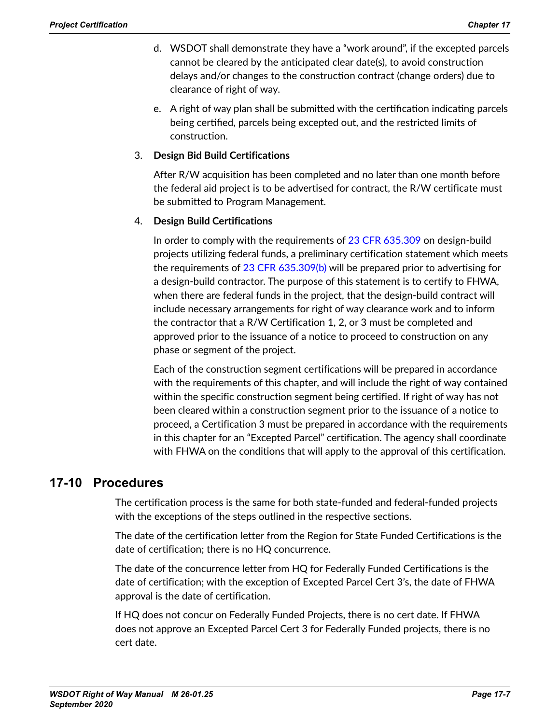- d. WSDOT shall demonstrate they have a "work around", if the excepted parcels cannot be cleared by the anticipated clear date(s), to avoid construction delays and/or changes to the construction contract (change orders) due to clearance of right of way.
- e. A right of way plan shall be submitted with the certification indicating parcels being certified, parcels being excepted out, and the restricted limits of construction.

## 3. **Design Bid Build Certifications**

After R/W acquisition has been completed and no later than one month before the federal aid project is to be advertised for contract, the R/W certificate must be submitted to Program Management.

## 4. **Design Build Certifications**

In order to comply with the requirements of 23 CFR [635.309](https://www.ecfr.gov/cgi-bin/text-idx?SID=152f21c8713f4b651841d2beae29b57a&mc=true&node=pt23.1.635&rgn=div5#se23.1.635_1309) on design-build projects utilizing federal funds, a preliminary certification statement which meets the requirements of 23 CFR [635.309\(b\)](https://www.ecfr.gov/cgi-bin/text-idx?SID=152f21c8713f4b651841d2beae29b57a&mc=true&node=pt23.1.635&rgn=div5#se23.1.635_1309) will be prepared prior to advertising for a design-build contractor. The purpose of this statement is to certify to FHWA, when there are federal funds in the project, that the design-build contract will include necessary arrangements for right of way clearance work and to inform the contractor that a R/W Certification 1, 2, or 3 must be completed and approved prior to the issuance of a notice to proceed to construction on any phase or segment of the project.

Each of the construction segment certifications will be prepared in accordance with the requirements of this chapter, and will include the right of way contained within the specific construction segment being certified. If right of way has not been cleared within a construction segment prior to the issuance of a notice to proceed, a Certification 3 must be prepared in accordance with the requirements in this chapter for an "Excepted Parcel" certification. The agency shall coordinate with FHWA on the conditions that will apply to the approval of this certification.

## **17-10 Procedures**

The certification process is the same for both state-funded and federal-funded projects with the exceptions of the steps outlined in the respective sections.

The date of the certification letter from the Region for State Funded Certifications is the date of certification; there is no HQ concurrence.

The date of the concurrence letter from HQ for Federally Funded Certifications is the date of certification; with the exception of Excepted Parcel Cert 3's, the date of FHWA approval is the date of certification.

If HQ does not concur on Federally Funded Projects, there is no cert date. If FHWA does not approve an Excepted Parcel Cert 3 for Federally Funded projects, there is no cert date.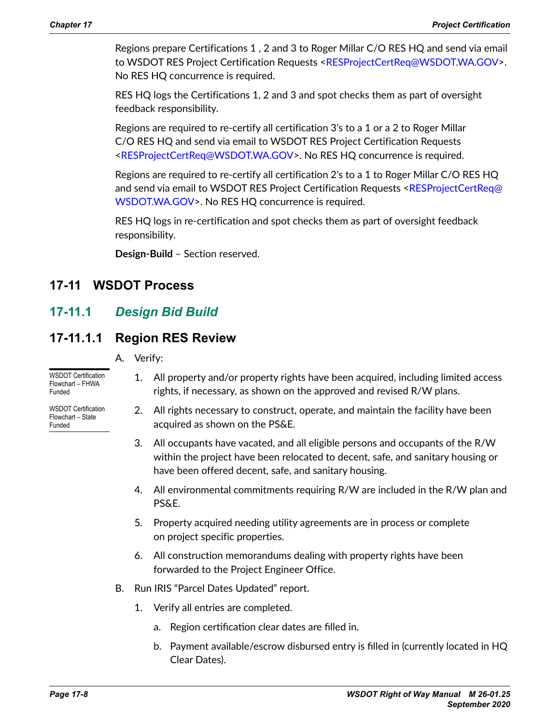Regions prepare Certifications 1 , 2 and 3 to Roger Millar C/O RES HQ and send via email to WSDOT RES Project Certification Requests <[RESProjectCertReq@WSDOT.WA.GOV](mailto:RESProjectCertReq@WSDOT.WA.GOV)>. No RES HQ concurrence is required.

RES HQ logs the Certifications 1, 2 and 3 and spot checks them as part of oversight feedback responsibility.

Regions are required to re-certify all certification 3's to a 1 or a 2 to Roger Millar C/O RES HQ and send via email to WSDOT RES Project Certification Requests [<RESProjectCertReq@WSDOT.WA.GOV](mailto:RESProjectCertReq@WSDOT.WA.GOV)>. No RES HQ concurrence is required.

Regions are required to re-certify all certification 2's to a 1 to Roger Millar C/O RES HQ and send via email to WSDOT RES Project Certification Requests <[RESProjectCertReq@](mailto:RESProjectCertReq@WSDOT.WA.GOV) [WSDOT.WA.GOV>](mailto:RESProjectCertReq@WSDOT.WA.GOV). No RES HQ concurrence is required.

RES HQ logs in re-certification and spot checks them as part of oversight feedback responsibility.

**Design-Build** – Section reserved.

## **17-11 WSDOT Process**

## **17-11.1** *Design Bid Build*

## **17-11.1.1 Region RES Review**

A. Verify:

[WSDOT Certification](http://www.wsdot.wa.gov/publications/manuals/fulltext/M26-01/WSDOTCertificationFlowchart-FHWA.pdf)  [Flowchart – FHWA](http://www.wsdot.wa.gov/publications/manuals/fulltext/M26-01/WSDOTCertificationFlowchart-FHWA.pdf)  [Funded](http://www.wsdot.wa.gov/publications/manuals/fulltext/M26-01/WSDOTCertificationFlowchart-FHWA.pdf)

[WSDOT Certification](http://www.wsdot.wa.gov/publications/manuals/fulltext/M26-01/WSDOTCertificationFlowchart-State.pdf)  [Flowchart – State](http://www.wsdot.wa.gov/publications/manuals/fulltext/M26-01/WSDOTCertificationFlowchart-State.pdf)  [Funded](http://www.wsdot.wa.gov/publications/manuals/fulltext/M26-01/WSDOTCertificationFlowchart-State.pdf)

- 1. All property and/or property rights have been acquired, including limited access rights, if necessary, as shown on the approved and revised R/W plans.
- 2. All rights necessary to construct, operate, and maintain the facility have been acquired as shown on the PS&E.
- 3. All occupants have vacated, and all eligible persons and occupants of the R/W within the project have been relocated to decent, safe, and sanitary housing or have been offered decent, safe, and sanitary housing.
- 4. All environmental commitments requiring R/W are included in the R/W plan and PS&E.
- 5. Property acquired needing utility agreements are in process or complete on project specific properties.
- 6. All construction memorandums dealing with property rights have been forwarded to the Project Engineer Office.
- B. Run IRIS "Parcel Dates Updated" report.
	- 1. Verify all entries are completed.
		- a. Region certification clear dates are filled in.
		- b. Payment available/escrow disbursed entry is filled in (currently located in HQ Clear Dates).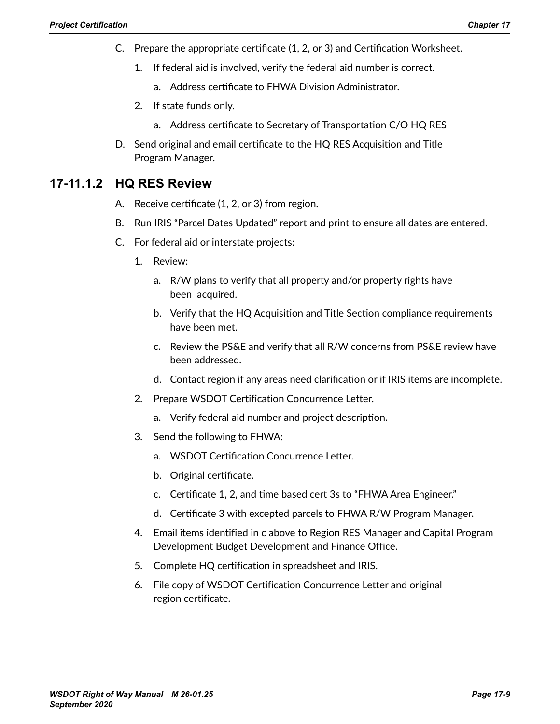- C. Prepare the appropriate certificate (1, 2, or 3) and Certification Worksheet.
	- 1. If federal aid is involved, verify the federal aid number is correct.
		- a. Address certificate to FHWA Division Administrator.
	- 2. If state funds only.
		- a. Address certificate to Secretary of Transportation C/O HQ RES
- D. Send original and email certificate to the HQ RES Acquisition and Title Program Manager.

## **17-11.1.2 HQ RES Review**

- A. Receive certificate (1, 2, or 3) from region.
- B. Run IRIS "Parcel Dates Updated" report and print to ensure all dates are entered.
- C. For federal aid or interstate projects:
	- 1. Review:
		- a. R/W plans to verify that all property and/or property rights have been acquired.
		- b. Verify that the HQ Acquisition and Title Section compliance requirements have been met.
		- c. Review the PS&E and verify that all R/W concerns from PS&E review have been addressed.
		- d. Contact region if any areas need clarification or if IRIS items are incomplete.
	- 2. Prepare WSDOT Certification Concurrence Letter.
		- a. Verify federal aid number and project description.
	- 3. Send the following to FHWA:
		- a. WSDOT Certification Concurrence Letter.
		- b. Original certificate.
		- c. Certificate 1, 2, and time based cert 3s to "FHWA Area Engineer."
		- d. Certificate 3 with excepted parcels to FHWA R/W Program Manager.
	- 4. Email items identified in c above to Region RES Manager and Capital Program Development Budget Development and Finance Office.
	- 5. Complete HQ certification in spreadsheet and IRIS.
	- 6. File copy of WSDOT Certification Concurrence Letter and original region certificate.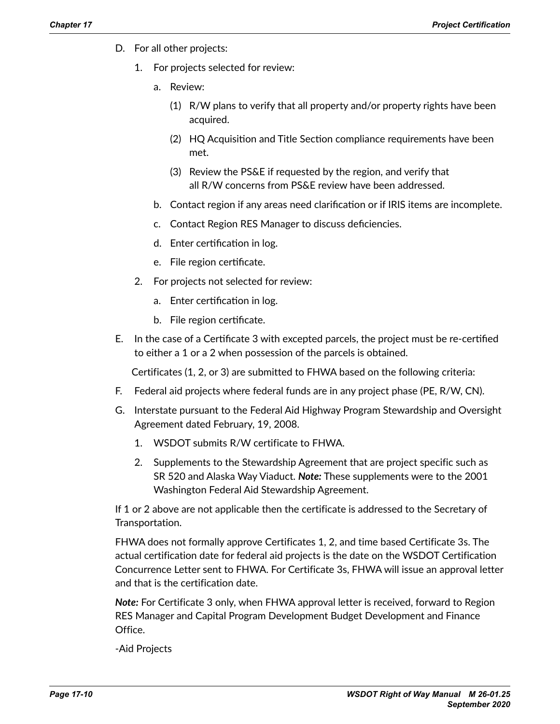- D. For all other projects:
	- For projects selected for review:
		- a. Review:
			- (1) R/W plans to verify that all property and/or property rights have been acquired.
			- (2) HQ Acquisition and Title Section compliance requirements have been met.
			- (3) Review the PS&E if requested by the region, and verify that all R/W concerns from PS&E review have been addressed.
		- b. Contact region if any areas need clarification or if IRIS items are incomplete.
		- c. Contact Region RES Manager to discuss deficiencies.
		- d. Enter certification in log.
		- e. File region certificate.
	- 2. For projects not selected for review:
		- a. Enter certification in log.
		- b. File region certificate.
- E. In the case of a Certificate 3 with excepted parcels, the project must be re-certified to either a 1 or a 2 when possession of the parcels is obtained.

Certificates (1, 2, or 3) are submitted to FHWA based on the following criteria:

- F. Federal aid projects where federal funds are in any project phase (PE, R/W, CN).
- G. Interstate pursuant to the Federal Aid Highway Program Stewardship and Oversight Agreement dated February, 19, 2008.
	- 1. WSDOT submits R/W certificate to FHWA.
	- 2. Supplements to the Stewardship Agreement that are project specific such as SR 520 and Alaska Way Viaduct. *Note:* These supplements were to the 2001 Washington Federal Aid Stewardship Agreement.

If 1 or 2 above are not applicable then the certificate is addressed to the Secretary of Transportation.

FHWA does not formally approve Certificates 1, 2, and time based Certificate 3s. The actual certification date for federal aid projects is the date on the WSDOT Certification Concurrence Letter sent to FHWA. For Certificate 3s, FHWA will issue an approval letter and that is the certification date.

*Note:* For Certificate 3 only, when FHWA approval letter is received, forward to Region RES Manager and Capital Program Development Budget Development and Finance Office.

-Aid Projects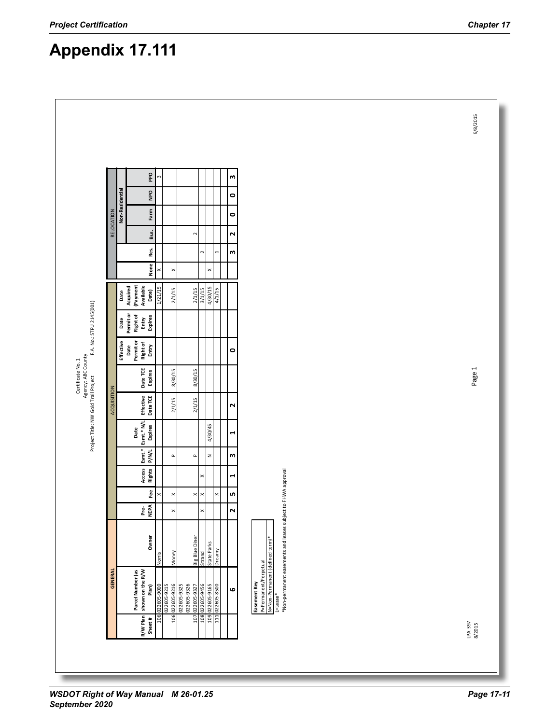# **Appendix 17.111**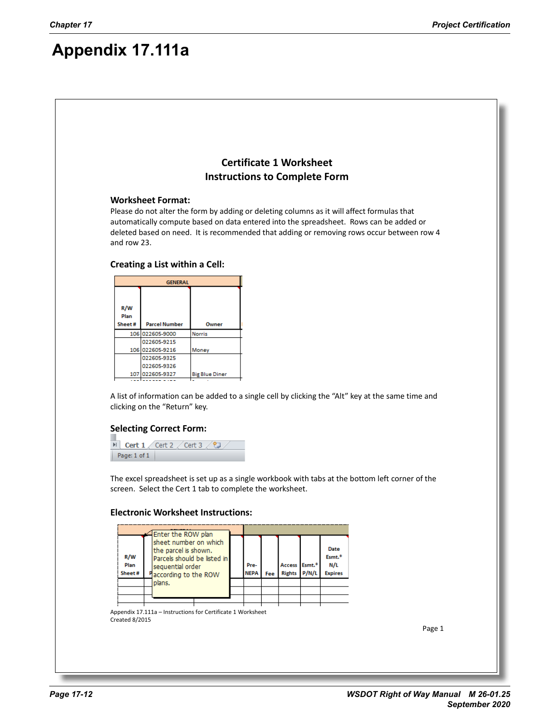## **Appendix 17.111a**

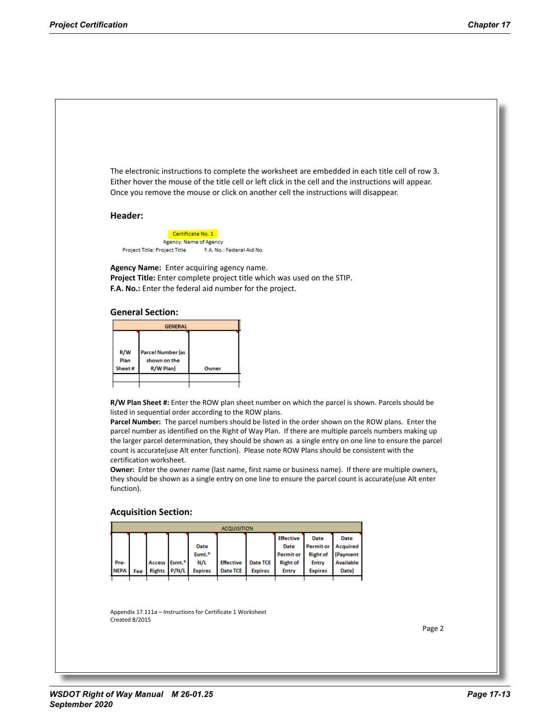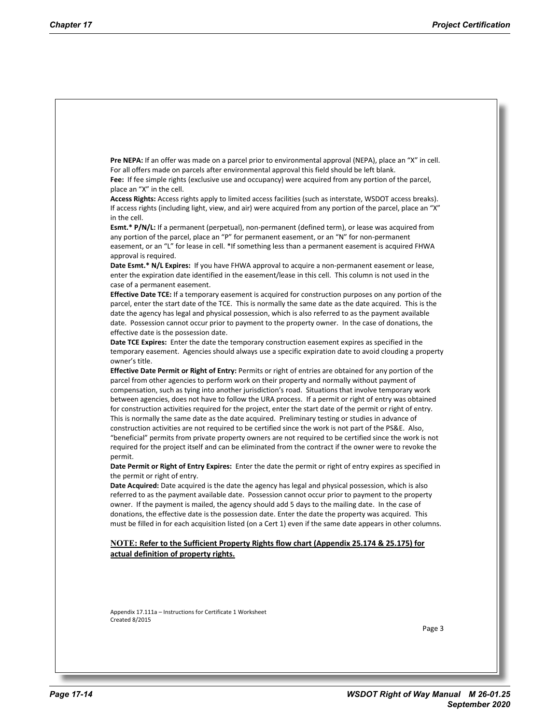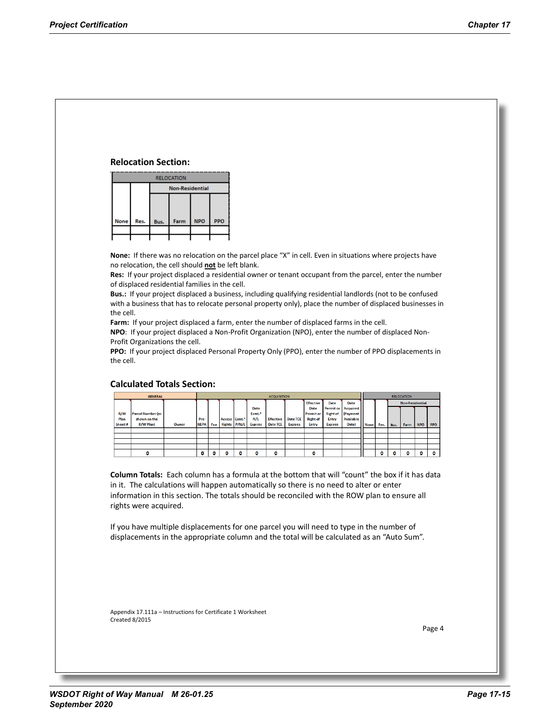### **Relocation Section:**

|             |      |      | <b>RELOCATION</b>      |            |            |  |  |  |  |  |  |  |  |  |  |
|-------------|------|------|------------------------|------------|------------|--|--|--|--|--|--|--|--|--|--|
|             |      |      | <b>Non-Residential</b> |            |            |  |  |  |  |  |  |  |  |  |  |
|             |      |      |                        |            |            |  |  |  |  |  |  |  |  |  |  |
|             |      |      |                        |            |            |  |  |  |  |  |  |  |  |  |  |
| <b>None</b> | Res. | Bus. | Farm                   | <b>NPO</b> | <b>PPO</b> |  |  |  |  |  |  |  |  |  |  |
|             |      |      |                        |            |            |  |  |  |  |  |  |  |  |  |  |
|             |      |      |                        |            |            |  |  |  |  |  |  |  |  |  |  |

**None:** If there was no relocation on the parcel place "X" in cell. Even in situations where projects have no relocation, the cell should **not** be left blank.

**Res:** If your project displaced a residential owner or tenant occupant from the parcel, enter the number of displaced residential families in the cell.

**Bus.:** If your project displaced a business, including qualifying residential landlords (not to be confused with a business that has to relocate personal property only), place the number of displaced businesses in the cell.

**Farm:** If your project displaced a farm, enter the number of displaced farms in the cell.

**NPO**: If your project displaced a Non-Profit Organization (NPO), enter the number of displaced Non-Profit Organizations the cell.

**PPO:** If your project displaced Personal Property Only (PPO), enter the number of PPO displacements in the cell.

|        | <b>GENERAL</b>           |       |             |     |                           |                    | <b>ACQUISITION</b> |                 |                  |                  |                  |             |      |      | <b>RELOCATION</b>      |            |     |  |  |
|--------|--------------------------|-------|-------------|-----|---------------------------|--------------------|--------------------|-----------------|------------------|------------------|------------------|-------------|------|------|------------------------|------------|-----|--|--|
|        |                          |       |             |     |                           |                    |                    |                 | <b>Effective</b> | Date             | Date             |             |      |      | <b>Non-Residential</b> |            |     |  |  |
|        |                          |       |             |     |                           | <b>Date</b>        |                    |                 | <b>Date</b>      | <b>Permit or</b> | Acquired         |             |      |      |                        |            |     |  |  |
| R/W    | <b>Parcel Number (as</b> |       |             |     |                           | Esmt. <sup>#</sup> |                    |                 | <b>Permit or</b> | <b>Right of</b>  | (Payment         |             |      |      |                        |            |     |  |  |
| Plan   | shown on the             |       | Pre-        |     | Access Esmt. <sup>#</sup> | N/L                | <b>Effective</b>   | <b>Date TCE</b> | <b>Right of</b>  | Entry            | <b>Available</b> |             |      |      |                        |            |     |  |  |
| Sheet# | R/W Plan)                | Owner | <b>NEPA</b> | Fee | Rights P/N/L              | <b>Expires</b>     | Date TCE           | <b>Expires</b>  | <b>Entry</b>     | <b>Expires</b>   | Date)            | <b>None</b> | Res. | Bus. | <b>Farm</b>            | <b>NPO</b> | PPO |  |  |
|        |                          |       |             |     |                           |                    |                    |                 |                  |                  |                  |             |      |      |                        |            |     |  |  |
|        |                          |       |             |     |                           |                    |                    |                 |                  |                  |                  |             |      |      |                        |            |     |  |  |
|        |                          |       |             |     |                           |                    |                    |                 |                  |                  |                  |             |      |      |                        |            |     |  |  |
|        |                          |       |             |     |                           |                    |                    |                 |                  |                  |                  |             |      |      |                        |            |     |  |  |
|        |                          |       | o           |     | п                         | O                  |                    |                 | ٥                |                  |                  |             | n    | ٥    |                        | o          |     |  |  |

### **Calculated Totals Section:**

**Column Totals:** Each column has a formula at the bottom that will "count" the box if it has data in it. The calculations will happen automatically so there is no need to alter or enter information in this section. The totals should be reconciled with the ROW plan to ensure all rights were acquired.

If you have multiple displacements for one parcel you will need to type in the number of displacements in the appropriate column and the total will be calculated as an "Auto Sum".

Appendix 17.111a – Instructions for Certificate 1 Worksheet Created 8/2015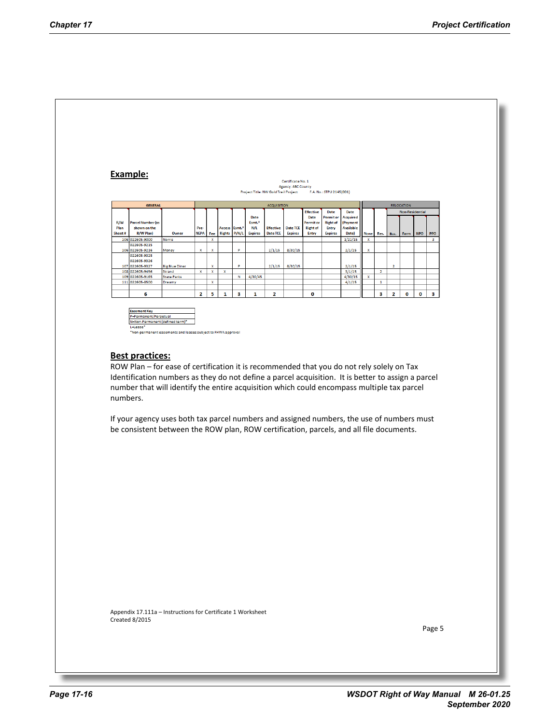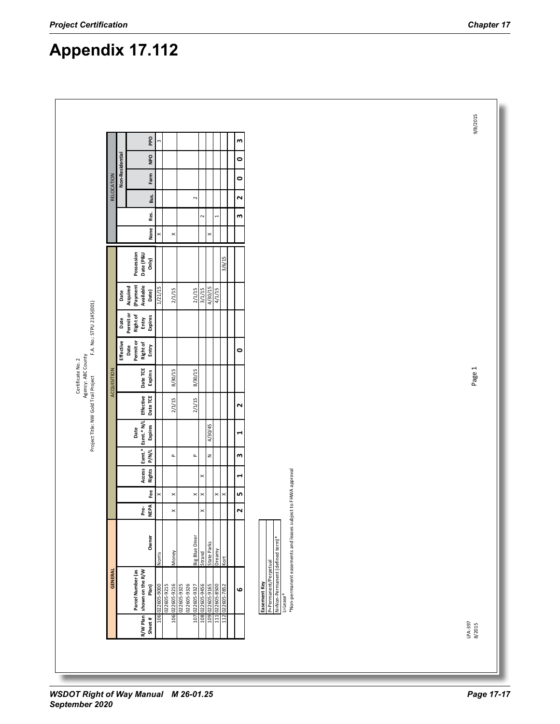|                    |                 | <b>Ddd</b>                                     | m           |                            |                                           |                       |                |                                | m                         |                                                                                                                                                                 |
|--------------------|-----------------|------------------------------------------------|-------------|----------------------------|-------------------------------------------|-----------------------|----------------|--------------------------------|---------------------------|-----------------------------------------------------------------------------------------------------------------------------------------------------------------|
|                    |                 | DdN                                            |             |                            |                                           |                       |                |                                | $\bullet$                 |                                                                                                                                                                 |
|                    | Non-Residential | Farm                                           |             |                            |                                           |                       |                |                                | $\bullet$                 |                                                                                                                                                                 |
| RELOCATION         |                 | Bus.                                           |             |                            | $\sim$                                    |                       |                |                                | $\overline{\mathbf{N}}$   |                                                                                                                                                                 |
|                    |                 | Res.                                           |             |                            |                                           | $\sim$                |                | $\overline{a}$                 | w                         |                                                                                                                                                                 |
|                    |                 | None                                           | $\times$    | $\pmb{\times}$             |                                           |                       | ×              |                                |                           |                                                                                                                                                                 |
|                    |                 | Possession<br>Date (P&U<br>Only)               |             |                            |                                           |                       |                | 3/6/15                         |                           |                                                                                                                                                                 |
|                    | Date            | (Payment<br>Available<br>Acquired<br>Date)     | 1/21/15     | 2/1/15                     | 2/1/15                                    | ST/JE/4<br>ST/JE/4    |                | 4/1/15                         |                           |                                                                                                                                                                 |
|                    | Date            | Permit or<br>Right of<br>Expires<br>Entry      |             |                            |                                           |                       |                |                                |                           |                                                                                                                                                                 |
|                    | Effective       | Permit or<br><b>Right of</b><br>Entry<br>Date  |             |                            |                                           |                       |                |                                | $\bullet$                 |                                                                                                                                                                 |
| <b>ACQUISITION</b> |                 | Date TCE<br>Expires                            |             | 8/30/15                    | 8/30/15                                   |                       |                |                                |                           |                                                                                                                                                                 |
|                    |                 | Effective<br>Date TCE                          |             | 2/1/15                     | 2/1/15                                    |                       |                |                                | $\overline{\mathbf{N}}$   |                                                                                                                                                                 |
|                    |                 | Esmt.* N/L<br>Expires<br>Date                  |             |                            |                                           |                       | 4/30/45        |                                | $\blacktriangleleft$      |                                                                                                                                                                 |
|                    |                 | $\mathsf{B}$<br><b>P/N/L</b>                   |             | $\mathbf{r}$               | $\mathbf{a}$                              |                       | $\overline{z}$ |                                | $\boldsymbol{\mathsf{m}}$ |                                                                                                                                                                 |
|                    |                 | Access<br>Rights                               |             |                            |                                           | ×                     |                |                                | $\blacksquare$            |                                                                                                                                                                 |
|                    |                 | Fee                                            | ×           | $\pmb{\times}$             | $\times$                                  | $\boldsymbol{\times}$ |                | $\times$<br>$\pmb{\times}$     | n,                        |                                                                                                                                                                 |
|                    |                 | <b>NEPA</b><br>è,                              |             | $\pmb{\times}$             |                                           | $\times$              |                |                                | $\overline{\mathbf{r}}$   |                                                                                                                                                                 |
|                    |                 | Owner                                          | Norris      | Money                      | Big Blue Diner                            | Strand                | State Parks    | Dreamy<br>Kort                 |                           |                                                                                                                                                                 |
| <b>GENERAL</b>     |                 | Parcel Number (as<br>shown on the R/W<br>Plan) | 0006-509ZZ0 | 022605-9215<br>022605-9216 | 022605-9325<br>022605-9326<br>022605-9327 | 59T6-509ZZ0           |                | 111 022605-8500<br>022605-7852 | ဖ                         | *Non-permanent easements and leases subject to FHWA approval<br>N=Non-Permanent (defined term)<br>P=Permanent/Perpetual<br>Easement Key<br>L=Lease <sup>*</sup> |
|                    |                 | R/W Plan<br>Sheet#                             | 106         | 106                        | 107                                       | 108<br>109            |                | 112                            |                           |                                                                                                                                                                 |

# **Appendix 17.112**

 $\sqrt{2}$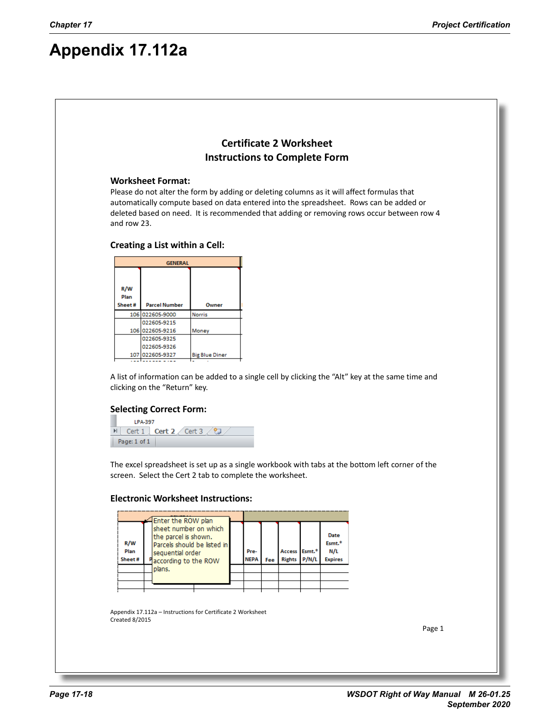# **Appendix 17.112a**

## **Certificate 2 Worksheet Instructions to Complete Form**

### **Worksheet Format:**

Please do not alter the form by adding or deleting columns as it will affect formulas that automatically compute based on data entered into the spreadsheet. Rows can be added or deleted based on need. It is recommended that adding or removing rows occur between row 4 and row 23.

### **Creating a List within a Cell:**

|             | <b>GENERAL</b>       |                       |
|-------------|----------------------|-----------------------|
|             |                      |                       |
| R/W<br>Plan |                      |                       |
| Sheet#      | <b>Parcel Number</b> | Owner                 |
|             | 106 022605-9000      | <b>Norris</b>         |
|             | 022605-9215          |                       |
|             | 106 022605-9216      | Money                 |
|             | 022605-9325          |                       |
|             | 022605-9326          |                       |
|             | 107 022605-9327      | <b>Big Blue Diner</b> |
|             |                      |                       |

A list of information can be added to a single cell by clicking the "Alt" key at the same time and clicking on the "Return" key.

### **Selecting Correct Form:**

LPA-397  $\mathbb{H}$  Cert 1 **Cert 2** Cert 3  $\sqrt{2}$ Page: 1 of 1

The excel spreadsheet is set up as a single workbook with tabs at the bottom left corner of the screen. Select the Cert 2 tab to complete the worksheet.

### **Electronic Worksheet Instructions:**



Appendix 17.112a – Instructions for Certificate 2 Worksheet Created 8/2015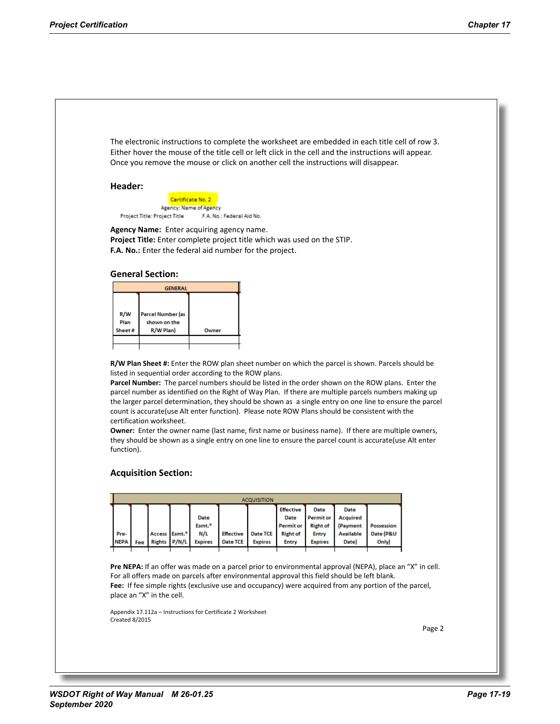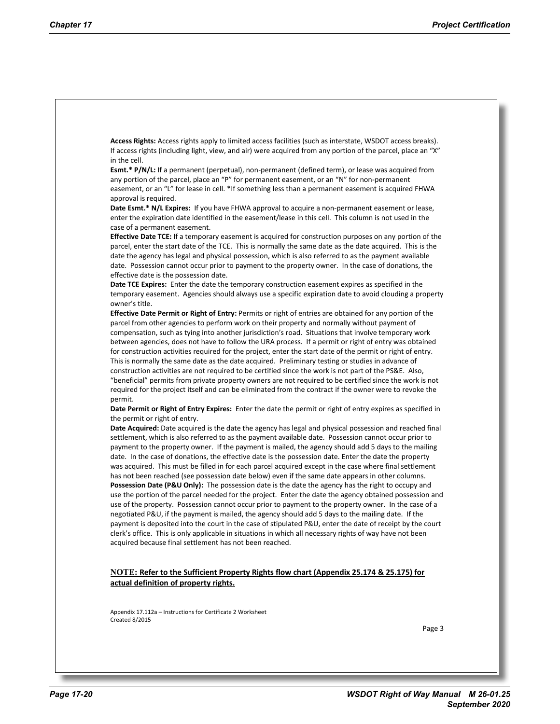**Access Rights:** Access rights apply to limited access facilities (such as interstate, WSDOT access breaks). If access rights (including light, view, and air) were acquired from any portion of the parcel, place an "X" in the cell.

**Esmt.\* P/N/L:** If a permanent (perpetual), non-permanent (defined term), or lease was acquired from any portion of the parcel, place an "P" for permanent easement, or an "N" for non-permanent easement, or an "L" for lease in cell. \*If something less than a permanent easement is acquired FHWA approval is required.

Date Esmt.\* N/L Expires: If you have FHWA approval to acquire a non-permanent easement or lease, enter the expiration date identified in the easement/lease in this cell. This column is not used in the case of a permanent easement.

**Effective Date TCE:** If a temporary easement is acquired for construction purposes on any portion of the parcel, enter the start date of the TCE. This is normally the same date as the date acquired. This is the date the agency has legal and physical possession, which is also referred to as the payment available date. Possession cannot occur prior to payment to the property owner. In the case of donations, the effective date is the possession date.

**Date TCE Expires:** Enter the date the temporary construction easement expires as specified in the temporary easement. Agencies should always use a specific expiration date to avoid clouding a property owner's title.

**Effective Date Permit or Right of Entry:** Permits or right of entries are obtained for any portion of the parcel from other agencies to perform work on their property and normally without payment of compensation, such as tying into another jurisdiction's road. Situations that involve temporary work between agencies, does not have to follow the URA process. If a permit or right of entry was obtained for construction activities required for the project, enter the start date of the permit or right of entry. This is normally the same date as the date acquired. Preliminary testing or studies in advance of construction activities are not required to be certified since the work is not part of the PS&E. Also, "beneficial" permits from private property owners are not required to be certified since the work is not required for the project itself and can be eliminated from the contract if the owner were to revoke the permit.

**Date Permit or Right of Entry Expires:** Enter the date the permit or right of entry expires as specified in the permit or right of entry.

**Date Acquired:** Date acquired is the date the agency has legal and physical possession and reached final settlement, which is also referred to as the payment available date. Possession cannot occur prior to payment to the property owner. If the payment is mailed, the agency should add 5 days to the mailing date. In the case of donations, the effective date is the possession date. Enter the date the property was acquired. This must be filled in for each parcel acquired except in the case where final settlement has not been reached (see possession date below) even if the same date appears in other columns. **Possession Date (P&U Only):** The possession date is the date the agency has the right to occupy and use the portion of the parcel needed for the project. Enter the date the agency obtained possession and use of the property. Possession cannot occur prior to payment to the property owner. In the case of a negotiated P&U, if the payment is mailed, the agency should add 5 days to the mailing date. If the payment is deposited into the court in the case of stipulated P&U, enter the date of receipt by the court clerk's office. This is only applicable in situations in which all necessary rights of way have not been acquired because final settlement has not been reached.

#### **NOTE: Refer to the Sufficient Property Rights flow chart (Appendix 25.174 & 25.175) for actual definition of property rights.**

Appendix 17.112a – Instructions for Certificate 2 Worksheet Created 8/2015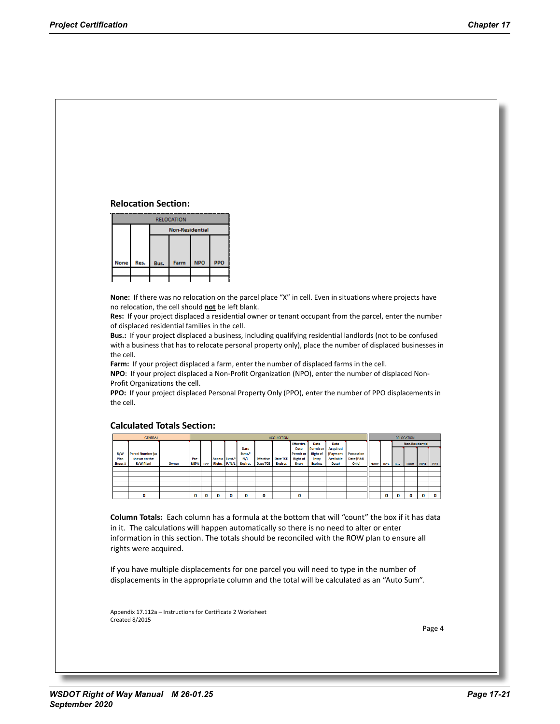### **Relocation Section:**



**None:** If there was no relocation on the parcel place "X" in cell. Even in situations where projects have no relocation, the cell should **not** be left blank.

**Res:** If your project displaced a residential owner or tenant occupant from the parcel, enter the number of displaced residential families in the cell.

**Bus.:** If your project displaced a business, including qualifying residential landlords (not to be confused with a business that has to relocate personal property only), place the number of displaced businesses in the cell.

**Farm:** If your project displaced a farm, enter the number of displaced farms in the cell.

**NPO**: If your project displaced a Non-Profit Organization (NPO), enter the number of displaced Non-Profit Organizations the cell.

**PPO:** If your project displaced Personal Property Only (PPO), enter the number of PPO displacements in the cell.

#### **Calculated Totals Section:**

|        | <b>GENERAL</b>           |       |             |     |                           |   |                    |                  | <b>ACQUISITION</b> |                  |                  |                  |                   | <b>RELOCATION</b> |      |      |                        |            |            |
|--------|--------------------------|-------|-------------|-----|---------------------------|---|--------------------|------------------|--------------------|------------------|------------------|------------------|-------------------|-------------------|------|------|------------------------|------------|------------|
|        |                          |       |             |     |                           |   |                    |                  |                    | <b>Effective</b> | Date             | Date             |                   |                   |      |      | <b>Non-Residential</b> |            |            |
|        |                          |       |             |     |                           |   | Date               |                  |                    | Date             | <b>Permit or</b> | <b>Acquired</b>  |                   |                   |      |      |                        |            |            |
| R/W    | <b>Parcel Number (as</b> |       |             |     |                           |   | Esmt. <sup>#</sup> |                  |                    | <b>Permit or</b> | <b>Right of</b>  | (Payment         | <b>Possession</b> |                   |      |      |                        |            |            |
| Plan   | shown on the             |       | Pre-        |     | Access Esmt. <sup>*</sup> |   | N/L                | <b>Effective</b> | Date TCE           | <b>Right of</b>  | Entry            | <b>Available</b> | Date (P&U         |                   |      |      |                        |            |            |
| Sheet# | R/W Plan)                | Owner | <b>NEPA</b> | Fee | Rights P/N/L              |   | <b>Expires</b>     | <b>Date TCE</b>  | <b>Expires</b>     | Entry            | <b>Expires</b>   | Date)            | Only)             | <b>None</b>       | Res. | Bus. | Farm                   | <b>NPO</b> | <b>PPO</b> |
|        |                          |       |             |     |                           |   |                    |                  |                    |                  |                  |                  |                   |                   |      |      |                        |            |            |
|        |                          |       |             |     |                           |   |                    |                  |                    |                  |                  |                  |                   |                   |      |      |                        |            |            |
|        |                          |       |             |     |                           |   |                    |                  |                    |                  |                  |                  |                   |                   |      |      |                        |            |            |
|        |                          |       |             |     |                           |   |                    |                  |                    |                  |                  |                  |                   |                   |      |      |                        |            |            |
|        |                          |       |             |     |                           |   |                    |                  |                    |                  |                  |                  |                   |                   |      |      |                        |            |            |
|        |                          |       | 0           | o   | n                         | n | o                  | 0                |                    | o                |                  |                  |                   |                   | o    |      |                        | $\bf{0}$   |            |

**Column Totals:** Each column has a formula at the bottom that will "count" the box if it has data in it. The calculations will happen automatically so there is no need to alter or enter information in this section. The totals should be reconciled with the ROW plan to ensure all rights were acquired.

If you have multiple displacements for one parcel you will need to type in the number of displacements in the appropriate column and the total will be calculated as an "Auto Sum".

Appendix 17.112a – Instructions for Certificate 2 Worksheet Created 8/2015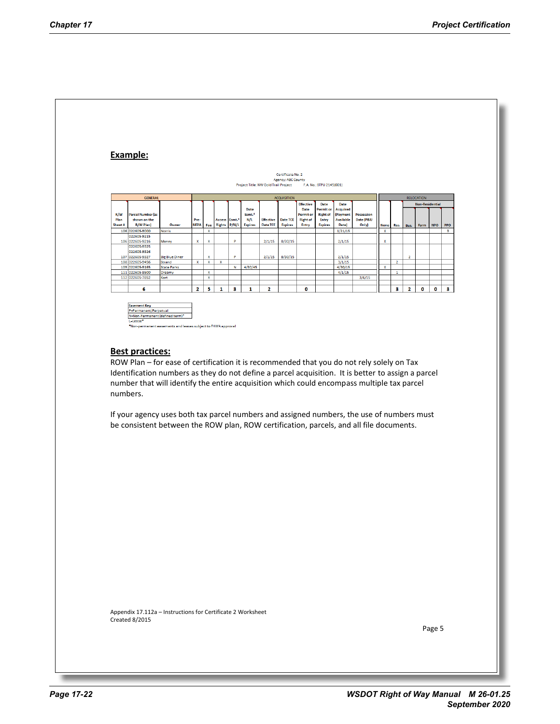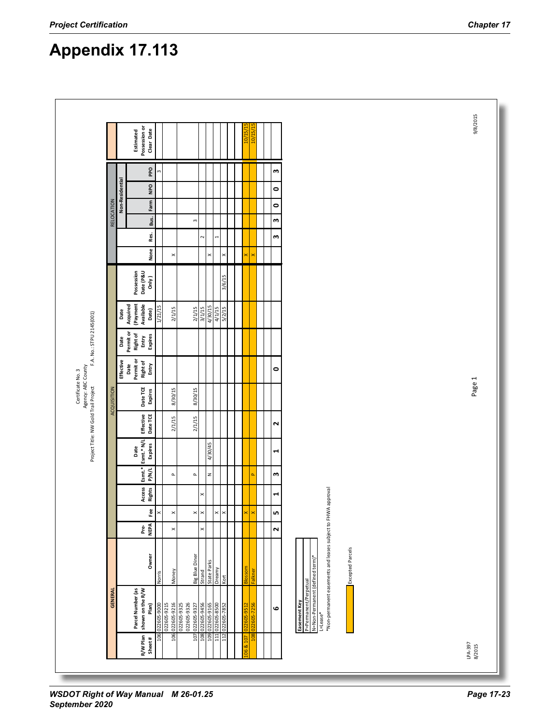| <b>Dad</b><br>w<br>m<br>Non-Residential<br>DdN<br>$\bullet$<br>RELOCATION<br>Farm<br>$\bullet$<br>Bus.<br>m<br>$\sim$<br>Res.<br>$\overline{a}$<br>w<br>$\sim$<br>None<br>$\times$<br>$\pmb{\times}$<br>$\pmb{\times}$<br>×<br>×<br>Possession<br>Date (P&U<br>Only)<br>3/6/15<br>(Payment<br>Available<br>Acquired<br>1/21/15<br>4/30/15<br>4/1/15<br>5/2/15<br>3/1/15<br>2/1/15<br>2/1/15<br>Date<br>Date)<br>Permit or<br><b>Right of</b><br>Expires<br>Entry<br>Date<br>Effective<br>Permit or<br><b>Right of</b><br>Entry<br>Date<br>$\bullet$<br>Date TCE<br>ACQUISITION<br>8/30/15<br>8/30/15<br>Expires<br>Date TCE<br>Effective<br>2/1/15<br>2/1/15<br>$\mathbf{\tilde{z}}$<br>Esmt.* N/L<br>4/30/45<br>Expires<br>Date<br>1<br>Esmt.*<br><b>P/N/L</b><br>$\mathsf z$<br>w<br>$\Delta$<br>$\spadesuit$<br>$\Delta$<br>š<br><b>Rights</b><br>*Non-permanent easements and leases subject to FHWA approval<br>Acce<br>×<br>$\blacktriangleleft$<br>Fee<br>$\times$<br>LO.<br>$\times$<br>$\times$<br>$\boldsymbol{\times}$<br>$\times$<br>$\pmb{\times}$<br>×<br>×<br>Pre-<br>NEPA<br>$\sim$<br>$\times$<br>$\pmb{\times}$<br><b>Excepted Parcels</b><br>Owner<br><b>Big Blue Diner</b><br>N=Non-Permanent (defined term)*<br>State Parks<br>등<br><b>Dreamy</b><br>Falkner<br>Strand<br>Money<br>Norris<br>Kort<br>P=Permanent/Perpetual<br>Parcel Number (as<br>shown on the R/W<br><b>GENERAL</b><br>Easement Key<br>106 022605-9216<br>022605-9325<br>111 022605-8500<br>Plan)<br>022605-9000<br>022605-9215<br>022605-9326<br>107 022605-9327<br>108 022605-9456<br>109 022605-9165<br>112 022605-7852<br>G<br>L=Lease <sup>*</sup> |  | Possession or<br>Estimated | Clear Date |  |  |  |  | <u>in</u> | 10/15 |  |
|------------------------------------------------------------------------------------------------------------------------------------------------------------------------------------------------------------------------------------------------------------------------------------------------------------------------------------------------------------------------------------------------------------------------------------------------------------------------------------------------------------------------------------------------------------------------------------------------------------------------------------------------------------------------------------------------------------------------------------------------------------------------------------------------------------------------------------------------------------------------------------------------------------------------------------------------------------------------------------------------------------------------------------------------------------------------------------------------------------------------------------------------------------------------------------------------------------------------------------------------------------------------------------------------------------------------------------------------------------------------------------------------------------------------------------------------------------------------------------------------------------------------------------------------------------------------------------------------------------------------------------------------|--|----------------------------|------------|--|--|--|--|-----------|-------|--|
|                                                                                                                                                                                                                                                                                                                                                                                                                                                                                                                                                                                                                                                                                                                                                                                                                                                                                                                                                                                                                                                                                                                                                                                                                                                                                                                                                                                                                                                                                                                                                                                                                                                |  |                            |            |  |  |  |  |           |       |  |
|                                                                                                                                                                                                                                                                                                                                                                                                                                                                                                                                                                                                                                                                                                                                                                                                                                                                                                                                                                                                                                                                                                                                                                                                                                                                                                                                                                                                                                                                                                                                                                                                                                                |  |                            |            |  |  |  |  |           |       |  |
|                                                                                                                                                                                                                                                                                                                                                                                                                                                                                                                                                                                                                                                                                                                                                                                                                                                                                                                                                                                                                                                                                                                                                                                                                                                                                                                                                                                                                                                                                                                                                                                                                                                |  |                            |            |  |  |  |  |           |       |  |
|                                                                                                                                                                                                                                                                                                                                                                                                                                                                                                                                                                                                                                                                                                                                                                                                                                                                                                                                                                                                                                                                                                                                                                                                                                                                                                                                                                                                                                                                                                                                                                                                                                                |  |                            |            |  |  |  |  |           |       |  |
|                                                                                                                                                                                                                                                                                                                                                                                                                                                                                                                                                                                                                                                                                                                                                                                                                                                                                                                                                                                                                                                                                                                                                                                                                                                                                                                                                                                                                                                                                                                                                                                                                                                |  |                            |            |  |  |  |  |           |       |  |
|                                                                                                                                                                                                                                                                                                                                                                                                                                                                                                                                                                                                                                                                                                                                                                                                                                                                                                                                                                                                                                                                                                                                                                                                                                                                                                                                                                                                                                                                                                                                                                                                                                                |  |                            |            |  |  |  |  |           |       |  |
|                                                                                                                                                                                                                                                                                                                                                                                                                                                                                                                                                                                                                                                                                                                                                                                                                                                                                                                                                                                                                                                                                                                                                                                                                                                                                                                                                                                                                                                                                                                                                                                                                                                |  |                            |            |  |  |  |  |           |       |  |
|                                                                                                                                                                                                                                                                                                                                                                                                                                                                                                                                                                                                                                                                                                                                                                                                                                                                                                                                                                                                                                                                                                                                                                                                                                                                                                                                                                                                                                                                                                                                                                                                                                                |  |                            |            |  |  |  |  |           |       |  |
|                                                                                                                                                                                                                                                                                                                                                                                                                                                                                                                                                                                                                                                                                                                                                                                                                                                                                                                                                                                                                                                                                                                                                                                                                                                                                                                                                                                                                                                                                                                                                                                                                                                |  |                            |            |  |  |  |  |           |       |  |
|                                                                                                                                                                                                                                                                                                                                                                                                                                                                                                                                                                                                                                                                                                                                                                                                                                                                                                                                                                                                                                                                                                                                                                                                                                                                                                                                                                                                                                                                                                                                                                                                                                                |  |                            |            |  |  |  |  |           |       |  |
|                                                                                                                                                                                                                                                                                                                                                                                                                                                                                                                                                                                                                                                                                                                                                                                                                                                                                                                                                                                                                                                                                                                                                                                                                                                                                                                                                                                                                                                                                                                                                                                                                                                |  |                            |            |  |  |  |  |           |       |  |
|                                                                                                                                                                                                                                                                                                                                                                                                                                                                                                                                                                                                                                                                                                                                                                                                                                                                                                                                                                                                                                                                                                                                                                                                                                                                                                                                                                                                                                                                                                                                                                                                                                                |  |                            |            |  |  |  |  |           |       |  |
|                                                                                                                                                                                                                                                                                                                                                                                                                                                                                                                                                                                                                                                                                                                                                                                                                                                                                                                                                                                                                                                                                                                                                                                                                                                                                                                                                                                                                                                                                                                                                                                                                                                |  |                            |            |  |  |  |  |           |       |  |
|                                                                                                                                                                                                                                                                                                                                                                                                                                                                                                                                                                                                                                                                                                                                                                                                                                                                                                                                                                                                                                                                                                                                                                                                                                                                                                                                                                                                                                                                                                                                                                                                                                                |  |                            |            |  |  |  |  |           |       |  |
|                                                                                                                                                                                                                                                                                                                                                                                                                                                                                                                                                                                                                                                                                                                                                                                                                                                                                                                                                                                                                                                                                                                                                                                                                                                                                                                                                                                                                                                                                                                                                                                                                                                |  |                            |            |  |  |  |  |           |       |  |
|                                                                                                                                                                                                                                                                                                                                                                                                                                                                                                                                                                                                                                                                                                                                                                                                                                                                                                                                                                                                                                                                                                                                                                                                                                                                                                                                                                                                                                                                                                                                                                                                                                                |  |                            |            |  |  |  |  |           |       |  |
|                                                                                                                                                                                                                                                                                                                                                                                                                                                                                                                                                                                                                                                                                                                                                                                                                                                                                                                                                                                                                                                                                                                                                                                                                                                                                                                                                                                                                                                                                                                                                                                                                                                |  |                            |            |  |  |  |  |           |       |  |
|                                                                                                                                                                                                                                                                                                                                                                                                                                                                                                                                                                                                                                                                                                                                                                                                                                                                                                                                                                                                                                                                                                                                                                                                                                                                                                                                                                                                                                                                                                                                                                                                                                                |  |                            |            |  |  |  |  |           |       |  |
|                                                                                                                                                                                                                                                                                                                                                                                                                                                                                                                                                                                                                                                                                                                                                                                                                                                                                                                                                                                                                                                                                                                                                                                                                                                                                                                                                                                                                                                                                                                                                                                                                                                |  |                            |            |  |  |  |  |           |       |  |

**Appendix 17.113**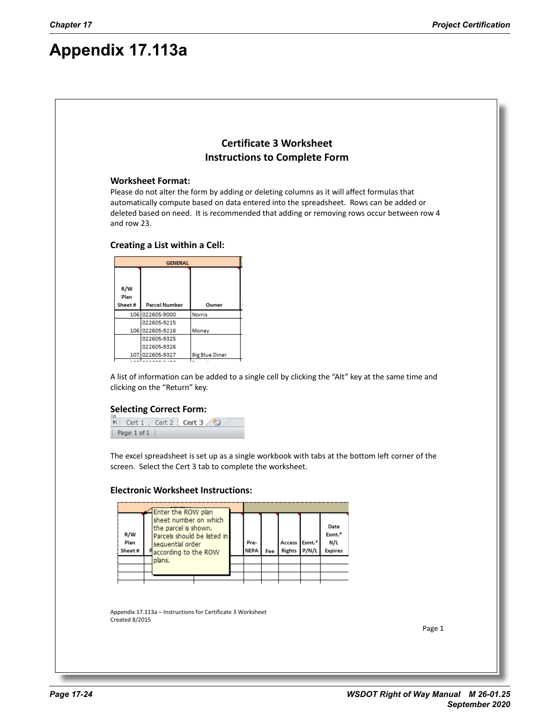# **Appendix 17.113a**

## **Certificate 3 Worksheet Instructions to Complete Form**

### **Worksheet Format:**

Please do not alter the form by adding or deleting columns as it will affect formulas that automatically compute based on data entered into the spreadsheet. Rows can be added or deleted based on need. It is recommended that adding or removing rows occur between row 4 and row 23.

### **Creating a List within a Cell:**

|             | <b>GENERAL</b>       |                       |
|-------------|----------------------|-----------------------|
|             |                      |                       |
| R/W<br>Plan |                      |                       |
| Sheet#      | <b>Parcel Number</b> | Owner                 |
|             | 106 022605-9000      | <b>Norris</b>         |
|             | 022605-9215          |                       |
|             | 106 022605-9216      | Money                 |
|             | 022605-9325          |                       |
|             | 022605-9326          |                       |
|             | 107 022605-9327      | <b>Big Blue Diner</b> |
|             |                      |                       |

A list of information can be added to a single cell by clicking the "Alt" key at the same time and clicking on the "Return" key.

### **Selecting Correct Form:**

H Cert 1 / Cert 2 Cert 3 倍 Page:  $1$  of  $1$ 

The excel spreadsheet is set up as a single workbook with tabs at the bottom left corner of the screen. Select the Cert 3 tab to complete the worksheet.

### **Electronic Worksheet Instructions:**



Appendix 17.113a – Instructions for Certificate 3 Worksheet Created 8/2015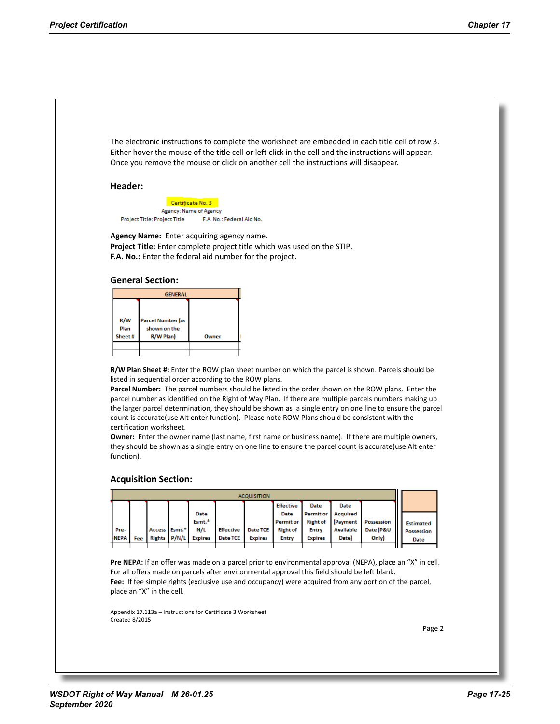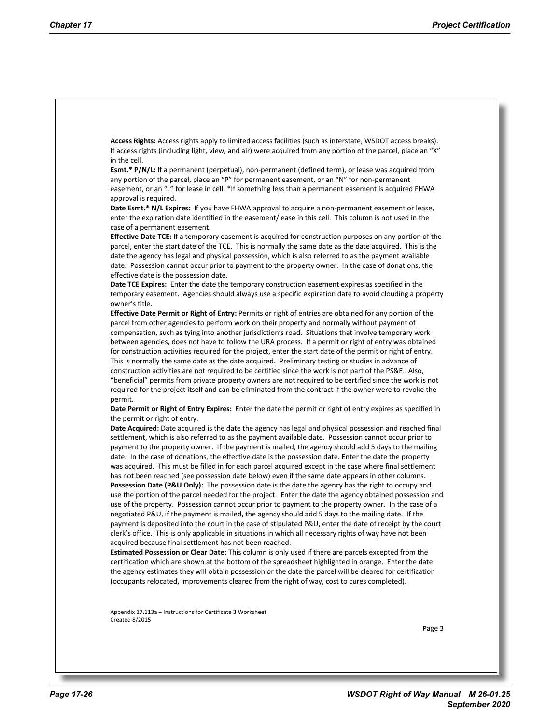**Access Rights:** Access rights apply to limited access facilities (such as interstate, WSDOT access breaks). If access rights (including light, view, and air) were acquired from any portion of the parcel, place an "X" in the cell.

**Esmt.\* P/N/L:** If a permanent (perpetual), non-permanent (defined term), or lease was acquired from any portion of the parcel, place an "P" for permanent easement, or an "N" for non-permanent easement, or an "L" for lease in cell. \*If something less than a permanent easement is acquired FHWA approval is required.

Date Esmt.\* N/L Expires: If you have FHWA approval to acquire a non-permanent easement or lease, enter the expiration date identified in the easement/lease in this cell. This column is not used in the case of a permanent easement.

**Effective Date TCE:** If a temporary easement is acquired for construction purposes on any portion of the parcel, enter the start date of the TCE. This is normally the same date as the date acquired. This is the date the agency has legal and physical possession, which is also referred to as the payment available date. Possession cannot occur prior to payment to the property owner. In the case of donations, the effective date is the possession date.

**Date TCE Expires:** Enter the date the temporary construction easement expires as specified in the temporary easement. Agencies should always use a specific expiration date to avoid clouding a property owner's title.

**Effective Date Permit or Right of Entry:** Permits or right of entries are obtained for any portion of the parcel from other agencies to perform work on their property and normally without payment of compensation, such as tying into another jurisdiction's road. Situations that involve temporary work between agencies, does not have to follow the URA process. If a permit or right of entry was obtained for construction activities required for the project, enter the start date of the permit or right of entry. This is normally the same date as the date acquired. Preliminary testing or studies in advance of construction activities are not required to be certified since the work is not part of the PS&E. Also, "beneficial" permits from private property owners are not required to be certified since the work is not required for the project itself and can be eliminated from the contract if the owner were to revoke the permit.

**Date Permit or Right of Entry Expires:** Enter the date the permit or right of entry expires as specified in the permit or right of entry.

**Date Acquired:** Date acquired is the date the agency has legal and physical possession and reached final settlement, which is also referred to as the payment available date. Possession cannot occur prior to payment to the property owner. If the payment is mailed, the agency should add 5 days to the mailing date. In the case of donations, the effective date is the possession date. Enter the date the property was acquired. This must be filled in for each parcel acquired except in the case where final settlement has not been reached (see possession date below) even if the same date appears in other columns. **Possession Date (P&U Only):** The possession date is the date the agency has the right to occupy and use the portion of the parcel needed for the project. Enter the date the agency obtained possession and use of the property. Possession cannot occur prior to payment to the property owner. In the case of a negotiated P&U, if the payment is mailed, the agency should add 5 days to the mailing date. If the payment is deposited into the court in the case of stipulated P&U, enter the date of receipt by the court clerk's office. This is only applicable in situations in which all necessary rights of way have not been acquired because final settlement has not been reached.

**Estimated Possession or Clear Date:** This column is only used if there are parcels excepted from the certification which are shown at the bottom of the spreadsheet highlighted in orange. Enter the date the agency estimates they will obtain possession or the date the parcel will be cleared for certification (occupants relocated, improvements cleared from the right of way, cost to cures completed).

Appendix 17.113a – Instructions for Certificate 3 Worksheet Created 8/2015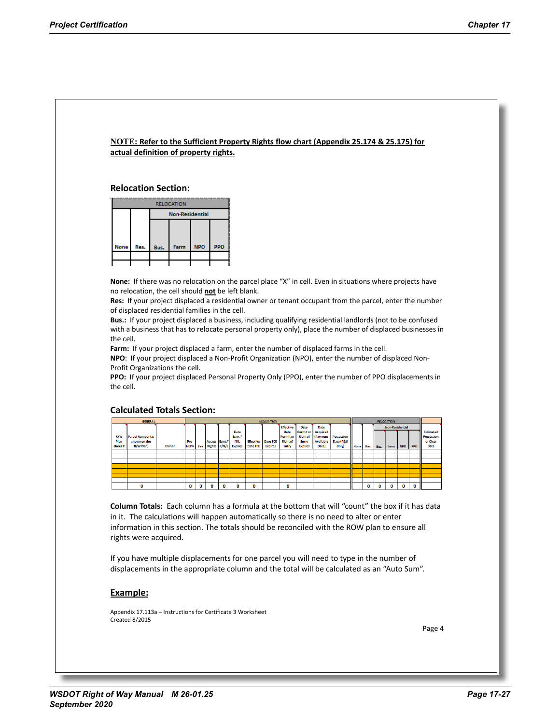### **NOTE: Refer to the Sufficient Property Rights flow chart (Appendix 25.174 & 25.175) for actual definition of property rights.**

**Relocation Section:**

|      |      |      | <b>RELOCATION</b>      |            |            |  |  |  |  |  |  |  |  |  |  |  |
|------|------|------|------------------------|------------|------------|--|--|--|--|--|--|--|--|--|--|--|
|      |      |      | <b>Non-Residential</b> |            |            |  |  |  |  |  |  |  |  |  |  |  |
|      |      |      |                        |            |            |  |  |  |  |  |  |  |  |  |  |  |
|      |      |      |                        |            |            |  |  |  |  |  |  |  |  |  |  |  |
| None | Res. | Bus. | Farm                   | <b>NPO</b> | <b>PPO</b> |  |  |  |  |  |  |  |  |  |  |  |
|      |      |      |                        |            |            |  |  |  |  |  |  |  |  |  |  |  |
|      |      |      |                        |            |            |  |  |  |  |  |  |  |  |  |  |  |

**None:** If there was no relocation on the parcel place "X" in cell. Even in situations where projects have no relocation, the cell should **not** be left blank.

**Res:** If your project displaced a residential owner or tenant occupant from the parcel, enter the number of displaced residential families in the cell.

**Bus.:** If your project displaced a business, including qualifying residential landlords (not to be confused with a business that has to relocate personal property only), place the number of displaced businesses in the cell.

**Farm:** If your project displaced a farm, enter the number of displaced farms in the cell.

**NPO**: If your project displaced a Non-Profit Organization (NPO), enter the number of displaced Non-Profit Organizations the cell.

**PPO:** If your project displaced Personal Property Only (PPO), enter the number of PPO displacements in the cell.

### **Calculated Totals Section:**

|         | <b>GENERAL</b>           |       |             |   |                           |                    |                  | <b>ACQUISITION</b><br><b>RELOCATION</b> |                  |                  |                  |                   |             |      |          |                        |              |     |                  |
|---------|--------------------------|-------|-------------|---|---------------------------|--------------------|------------------|-----------------------------------------|------------------|------------------|------------------|-------------------|-------------|------|----------|------------------------|--------------|-----|------------------|
|         |                          |       |             |   |                           |                    |                  |                                         | <b>Effective</b> | Date             | Date             |                   |             |      |          | <b>Non-Residential</b> |              |     |                  |
|         |                          |       |             |   |                           | Date               |                  |                                         | <b>Date</b>      | <b>Permit or</b> | Acquired         |                   |             |      |          |                        |              |     | <b>Estimated</b> |
| R/W     | <b>Parcel Number (as</b> |       |             |   |                           | Esmt. <sup>#</sup> |                  |                                         | <b>Permit or</b> | <b>Right of</b>  | (Payment         | <b>Possession</b> |             |      |          |                        |              |     | Possession       |
| Plan    | shown on the             |       | Pre-        |   | Access Esmt. <sup>#</sup> | N/L                | <b>Effective</b> | Date TCE                                | <b>Right of</b>  | Entry            | <b>Available</b> | Date (P&U         |             |      |          |                        |              |     | or Clear         |
| Sheet # | R/W Plan)                | Owner | <b>NEPA</b> |   | Fee Rights P/N/L          | <b>Expires</b>     | Date TCE         | <b>Expires</b>                          | Entry            | <b>Expires</b>   | Date)            | Only)             | <b>None</b> | Res. | Bus.     | Farm                   | I NPO        | PPO | <b>Date</b>      |
|         |                          |       |             |   |                           |                    |                  |                                         |                  |                  |                  |                   |             |      |          |                        |              |     |                  |
|         |                          |       |             |   |                           |                    |                  |                                         |                  |                  |                  |                   |             |      |          |                        |              |     |                  |
|         |                          |       |             |   |                           |                    |                  |                                         |                  |                  |                  |                   |             |      |          |                        |              |     |                  |
|         |                          |       |             |   |                           |                    |                  |                                         |                  |                  |                  |                   |             |      |          |                        |              |     |                  |
|         |                          |       |             |   |                           |                    |                  |                                         |                  |                  |                  |                   |             |      |          |                        |              |     |                  |
|         |                          |       |             |   |                           |                    |                  |                                         |                  |                  |                  |                   |             |      |          |                        |              |     |                  |
|         |                          |       |             |   |                           |                    |                  |                                         |                  |                  |                  |                   |             |      |          |                        |              |     |                  |
|         |                          |       | o           | o | o                         | o                  | ٥                |                                         | 0                |                  |                  |                   |             | 0    | $\Omega$ | o                      | $\mathbf{0}$ | 0   |                  |

**Column Totals:** Each column has a formula at the bottom that will "count" the box if it has data in it. The calculations will happen automatically so there is no need to alter or enter information in this section. The totals should be reconciled with the ROW plan to ensure all rights were acquired.

If you have multiple displacements for one parcel you will need to type in the number of displacements in the appropriate column and the total will be calculated as an "Auto Sum".

### **Example:**

Appendix 17.113a – Instructions for Certificate 3 Worksheet Created 8/2015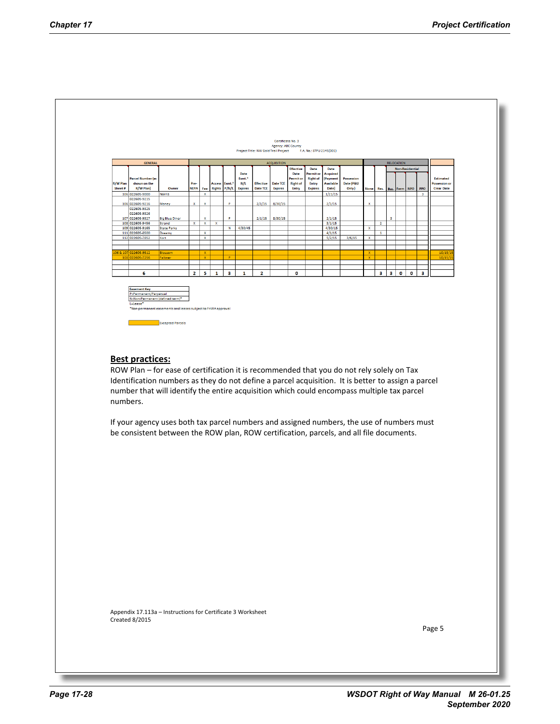

Appendix 17.113a – Instructions for Certificate 3 Worksheet Created 8/2015